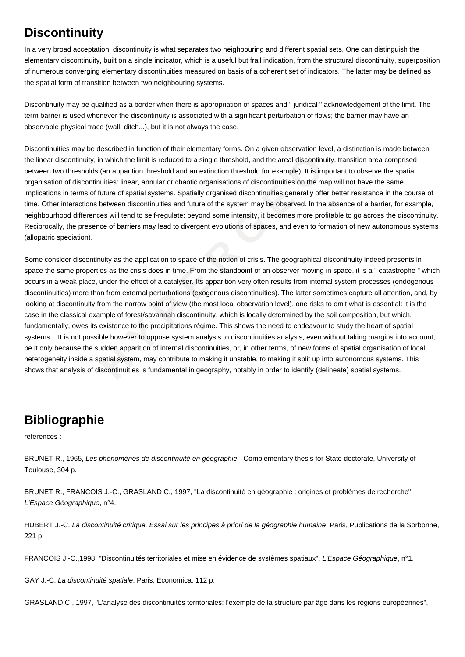## **Discontinuity**

In a very broad acceptation, discontinuity is what separates two neighbouring and different spatial sets. One can distinguish the elementary discontinuity, built on a single indicator, which is a useful but frail indication, from the structural discontinuity, superposition of numerous converging elementary discontinuities measured on basis of a coherent set of indicators. The latter may be defined as the spatial form of transition between two neighbouring systems.

Discontinuity may be qualified as a border when there is appropriation of spaces and " juridical " acknowledgement of the limit. The term barrier is used whenever the discontinuity is associated with a significant perturbation of flows; the barrier may have an observable physical trace (wall, ditch...), but it is not always the case.

Discontinuities may be described in function of their elementary forms. On a given observation level, a distinction is made between the linear discontinuity, in which the limit is reduced to a single threshold, and the areal discontinuity, transition area comprised between two thresholds (an apparition threshold and an extinction threshold for example). It is important to observe the spatial organisation of discontinuities: linear, annular or chaotic organisations of discontinuities on the map will not have the same implications in terms of future of spatial systems. Spatially organised discontinuities generally offer better resistance in the course of time. Other interactions between discontinuities and future of the system may be observed. In the absence of a barrier, for example, neighbourhood differences will tend to self-regulate: beyond some intensity, it becomes more profitable to go across the discontinuity. Reciprocally, the presence of barriers may lead to divergent evolutions of spaces, and even to formation of new autonomous systems (allopatric speciation).

inuity, in which the limit is reduced to a single threshold, and the areal discontinuity, sholds (an apparition threshold and an extinction threshold for example). It is import<br>scontinuities: linear, annular or chancic org Some consider discontinuity as the application to space of the notion of crisis. The geographical discontinuity indeed presents in space the same properties as the crisis does in time. From the standpoint of an observer moving in space, it is a " catastrophe " which occurs in a weak place, under the effect of a catalyser. Its apparition very often results from internal system processes (endogenous discontinuities) more than from external perturbations (exogenous discontinuities). The latter sometimes capture all attention, and, by looking at discontinuity from the narrow point of view (the most local observation level), one risks to omit what is essential: it is the case in the classical example of forest/savannah discontinuity, which is locally determined by the soil composition, but which, fundamentally, owes its existence to the precipitations régime. This shows the need to endeavour to study the heart of spatial systems... It is not possible however to oppose system analysis to discontinuities analysis, even without taking margins into account, be it only because the sudden apparition of internal discontinuities, or, in other terms, of new forms of spatial organisation of local heterogeneity inside a spatial system, may contribute to making it unstable, to making it split up into autonomous systems. This shows that analysis of discontinuities is fundamental in geography, notably in order to identify (delineate) spatial systems.

## **Bibliographie**

references :

BRUNET R., 1965, Les phénomènes de discontinuité en géographie - Complementary thesis for State doctorate, University of Toulouse, 304 p.

BRUNET R., FRANCOIS J.-C., GRASLAND C., 1997, "La discontinuité en géographie : origines et problèmes de recherche", L'Espace Géographique, n°4.

HUBERT J.-C. La discontinuité critique. Essai sur les principes à priori de la géographie humaine, Paris, Publications de la Sorbonne, 221 p.

FRANCOIS J.-C.,1998, "Discontinuités territoriales et mise en évidence de systèmes spatiaux", L'Espace Géographique, n°1.

GAY J.-C. La discontinuité spatiale, Paris, Economica, 112 p.

GRASLAND C., 1997, "L'analyse des discontinuités territoriales: l'exemple de la structure par âge dans les régions européennes",